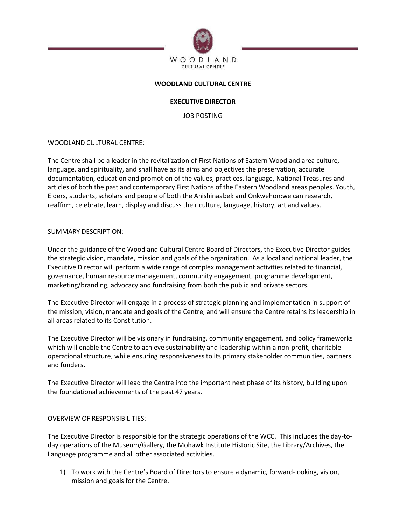

## **WOODLAND CULTURAL CENTRE**

## **EXECUTIVE DIRECTOR**

JOB POSTING

### WOODLAND CULTURAL CENTRE:

The Centre shall be a leader in the revitalization of First Nations of Eastern Woodland area culture, language, and spirituality, and shall have as its aims and objectives the preservation, accurate documentation, education and promotion of the values, practices, language, National Treasures and articles of both the past and contemporary First Nations of the Eastern Woodland areas peoples. Youth, Elders, students, scholars and people of both the Anishinaabek and Onkwehon:we can research, reaffirm, celebrate, learn, display and discuss their culture, language, history, art and values.

#### SUMMARY DESCRIPTION:

Under the guidance of the Woodland Cultural Centre Board of Directors, the Executive Director guides the strategic vision, mandate, mission and goals of the organization. As a local and national leader, the Executive Director will perform a wide range of complex management activities related to financial, governance, human resource management, community engagement, programme development, marketing/branding, advocacy and fundraising from both the public and private sectors.

The Executive Director will engage in a process of strategic planning and implementation in support of the mission, vision, mandate and goals of the Centre, and will ensure the Centre retains its leadership in all areas related to its Constitution.

The Executive Director will be visionary in fundraising, community engagement, and policy frameworks which will enable the Centre to achieve sustainability and leadership within a non-profit, charitable operational structure, while ensuring responsiveness to its primary stakeholder communities, partners and funders**.**

The Executive Director will lead the Centre into the important next phase of its history, building upon the foundational achievements of the past 47 years.

#### OVERVIEW OF RESPONSIBILITIES:

The Executive Director is responsible for the strategic operations of the WCC. This includes the day-today operations of the Museum/Gallery, the Mohawk Institute Historic Site, the Library/Archives, the Language programme and all other associated activities.

1) To work with the Centre's Board of Directors to ensure a dynamic, forward-looking, vision, mission and goals for the Centre.